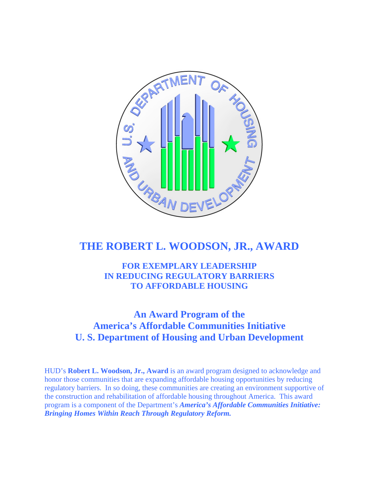

# **THE ROBERT L. WOODSON, JR., AWARD**

**FOR EXEMPLARY LEADERSHIP IN REDUCING REGULATORY BARRIERS TO AFFORDABLE HOUSING** 

# **An Award Program of the America's Affordable Communities Initiative U. S. Department of Housing and Urban Development**

HUD's **Robert L. Woodson, Jr., Award** is an award program designed to acknowledge and honor those communities that are expanding affordable housing opportunities by reducing regulatory barriers. In so doing, these communities are creating an environment supportive of the construction and rehabilitation of affordable housing throughout America. This award program is a component of the Department's *America's Affordable Communities Initiative: Bringing Homes Within Reach Through Regulatory Reform.*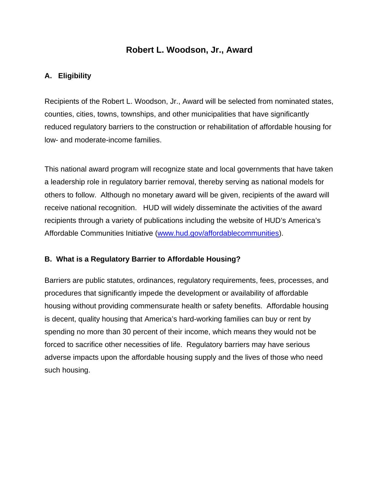## **Robert L. Woodson, Jr., Award**

### **A. Eligibility**

Recipients of the Robert L. Woodson, Jr., Award will be selected from nominated states, counties, cities, towns, townships, and other municipalities that have significantly reduced regulatory barriers to the construction or rehabilitation of affordable housing for low- and moderate-income families.

This national award program will recognize state and local governments that have taken a leadership role in regulatory barrier removal, thereby serving as national models for others to follow. Although no monetary award will be given, recipients of the award will receive national recognition. HUD will widely disseminate the activities of the award recipients through a variety of publications including the website of HUD's America's Affordable Communities Initiative ([www.hud.gov/affordablecommunities\)](http://www.hud.gov/affordablecommunities).

#### **B. What is a Regulatory Barrier to Affordable Housing?**

Barriers are public statutes, ordinances, regulatory requirements, fees, processes, and procedures that significantly impede the development or availability of affordable housing without providing commensurate health or safety benefits. Affordable housing is decent, quality housing that America's hard-working families can buy or rent by spending no more than 30 percent of their income, which means they would not be forced to sacrifice other necessities of life. Regulatory barriers may have serious adverse impacts upon the affordable housing supply and the lives of those who need such housing.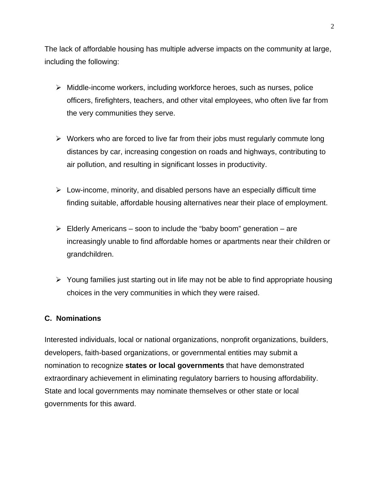The lack of affordable housing has multiple adverse impacts on the community at large, including the following:

- ¾ Middle-income workers, including workforce heroes, such as nurses, police officers, firefighters, teachers, and other vital employees, who often live far from the very communities they serve.
- $\triangleright$  Workers who are forced to live far from their jobs must regularly commute long distances by car, increasing congestion on roads and highways, contributing to air pollution, and resulting in significant losses in productivity.
- $\triangleright$  Low-income, minority, and disabled persons have an especially difficult time finding suitable, affordable housing alternatives near their place of employment.
- $\triangleright$  Elderly Americans soon to include the "baby boom" generation are increasingly unable to find affordable homes or apartments near their children or grandchildren.
- $\triangleright$  Young families just starting out in life may not be able to find appropriate housing choices in the very communities in which they were raised.

#### **C. Nominations**

Interested individuals, local or national organizations, nonprofit organizations, builders, developers, faith-based organizations, or governmental entities may submit a nomination to recognize **states or local governments** that have demonstrated extraordinary achievement in eliminating regulatory barriers to housing affordability. State and local governments may nominate themselves or other state or local governments for this award.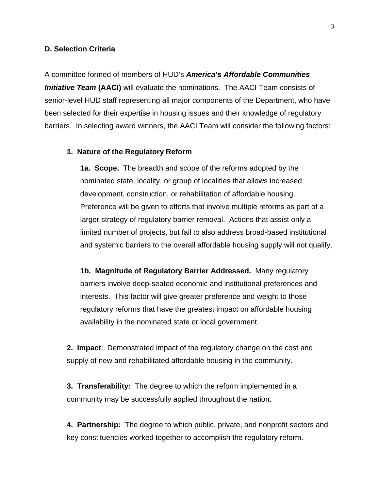#### **D. Selection Criteria**

A committee formed of members of HUD's *America's Affordable Communities Initiative Team* **(AACI)** will evaluate the nominations. The AACI Team consists of senior-level HUD staff representing all major components of the Department, who have been selected for their expertise in housing issues and their knowledge of regulatory barriers. In selecting award winners, the AACI Team will consider the following factors:

#### **1. Nature of the Regulatory Reform**

**1a. Scope.** The breadth and scope of the reforms adopted by the nominated state, locality, or group of localities that allows increased development, construction, or rehabilitation of affordable housing. Preference will be given to efforts that involve multiple reforms as part of a larger strategy of regulatory barrier removal. Actions that assist only a limited number of projects, but fail to also address broad-based institutional and systemic barriers to the overall affordable housing supply will not qualify.

**1b. Magnitude of Regulatory Barrier Addressed.** Many regulatory barriers involve deep-seated economic and institutional preferences and interests. This factor will give greater preference and weight to those regulatory reforms that have the greatest impact on affordable housing availability in the nominated state or local government.

**2. Impact**: Demonstrated impact of the regulatory change on the cost and supply of new and rehabilitated affordable housing in the community.

**3. Transferability:** The degree to which the reform implemented in a community may be successfully applied throughout the nation.

**4. Partnership:** The degree to which public, private, and nonprofit sectors and key constituencies worked together to accomplish the regulatory reform.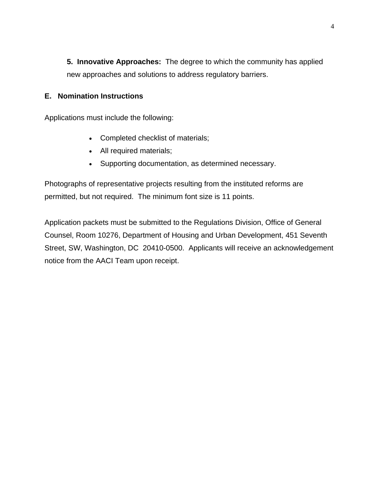**5. Innovative Approaches:** The degree to which the community has applied new approaches and solutions to address regulatory barriers.

#### **E. Nomination Instructions**

Applications must include the following:

- Completed checklist of materials;
- All required materials;
- Supporting documentation, as determined necessary.

Photographs of representative projects resulting from the instituted reforms are permitted, but not required. The minimum font size is 11 points.

Application packets must be submitted to the Regulations Division, Office of General Counsel, Room 10276, Department of Housing and Urban Development, 451 Seventh Street, SW, Washington, DC 20410-0500. Applicants will receive an acknowledgement notice from the AACI Team upon receipt.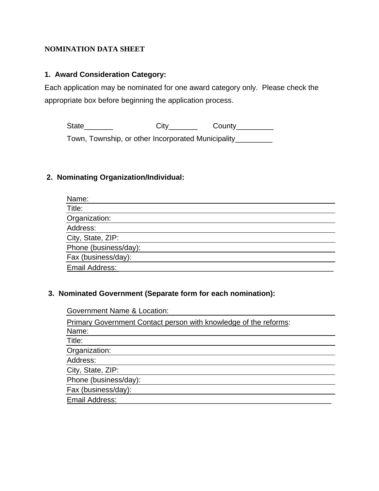#### **NOMINATION DATA SHEET**

#### **1. Award Consideration Category:**

Each application may be nominated for one award category only. Please check the appropriate box before beginning the application process.

State\_\_\_\_\_\_\_\_\_\_\_ City\_\_\_\_\_\_\_\_ County\_\_\_\_\_\_\_\_\_

Town, Township, or other Incorporated Municipality\_\_\_\_\_\_\_\_\_

#### **2. Nominating Organization/Individual:**

| Name:                 |  |
|-----------------------|--|
| Title:                |  |
| Organization:         |  |
| Address:              |  |
| City, State, ZIP:     |  |
| Phone (business/day): |  |
| Fax (business/day):   |  |
| Email Address:        |  |

#### **3. Nominated Government (Separate form for each nomination):**

Government Name & Location: Primary Government Contact person with knowledge of the reforms: Name: Title: Organization: Address: City, State, ZIP: Phone (business/day): Fax (business/day): Email Address: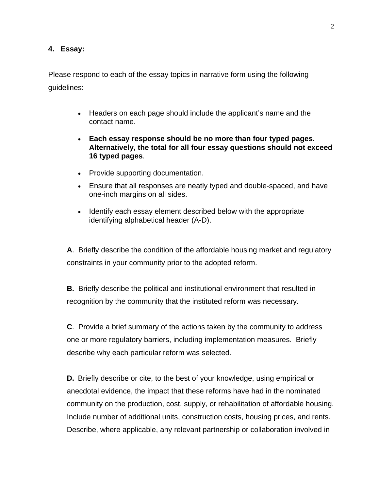#### **4. Essay:**

Please respond to each of the essay topics in narrative form using the following guidelines:

- Headers on each page should include the applicant's name and the contact name.
- **Each essay response should be no more than four typed pages. Alternatively, the total for all four essay questions should not exceed 16 typed pages**.
- Provide supporting documentation.
- Ensure that all responses are neatly typed and double-spaced, and have one-inch margins on all sides.
- Identify each essay element described below with the appropriate identifying alphabetical header (A-D).

**A**. Briefly describe the condition of the affordable housing market and regulatory constraints in your community prior to the adopted reform.

**B.** Briefly describe the political and institutional environment that resulted in recognition by the community that the instituted reform was necessary.

**C**. Provide a brief summary of the actions taken by the community to address one or more regulatory barriers, including implementation measures. Briefly describe why each particular reform was selected.

**D.** Briefly describe or cite, to the best of your knowledge, using empirical or anecdotal evidence, the impact that these reforms have had in the nominated community on the production, cost, supply, or rehabilitation of affordable housing. Include number of additional units, construction costs, housing prices, and rents. Describe, where applicable, any relevant partnership or collaboration involved in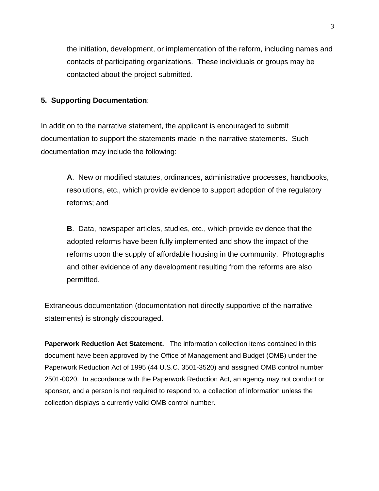the initiation, development, or implementation of the reform, including names and contacts of participating organizations. These individuals or groups may be contacted about the project submitted.

#### **5. Supporting Documentation**:

In addition to the narrative statement, the applicant is encouraged to submit documentation to support the statements made in the narrative statements. Such documentation may include the following:

**A**. New or modified statutes, ordinances, administrative processes, handbooks, resolutions, etc., which provide evidence to support adoption of the regulatory reforms; and

**B**. Data, newspaper articles, studies, etc., which provide evidence that the adopted reforms have been fully implemented and show the impact of the reforms upon the supply of affordable housing in the community. Photographs and other evidence of any development resulting from the reforms are also permitted.

Extraneous documentation (documentation not directly supportive of the narrative statements) is strongly discouraged.

**Paperwork Reduction Act Statement.** The information collection items contained in this document have been approved by the Office of Management and Budget (OMB) under the Paperwork Reduction Act of 1995 (44 U.S.C. 3501-3520) and assigned OMB control number 2501-0020. In accordance with the Paperwork Reduction Act, an agency may not conduct or sponsor, and a person is not required to respond to, a collection of information unless the collection displays a currently valid OMB control number.